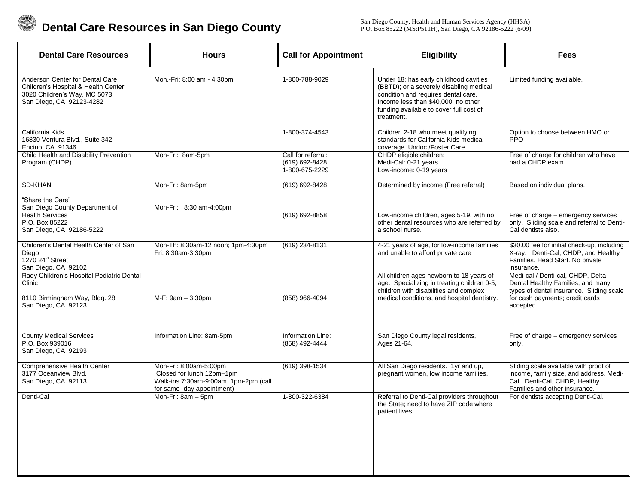

 **Dental Care Resources in San Diego County**

San Diego County, Health and Human Services Agency (HHSA) P.O. Box 85222 (MS:P511H), San Diego, CA 92186-5222 (6/09)

| <b>Dental Care Resources</b>                                                                                                       | <b>Hours</b>                                                                                                               | <b>Call for Appointment</b>                            | Eligibility                                                                                                                                                                                                              | Fees                                                                                                                                                               |
|------------------------------------------------------------------------------------------------------------------------------------|----------------------------------------------------------------------------------------------------------------------------|--------------------------------------------------------|--------------------------------------------------------------------------------------------------------------------------------------------------------------------------------------------------------------------------|--------------------------------------------------------------------------------------------------------------------------------------------------------------------|
| Anderson Center for Dental Care<br>Children's Hospital & Health Center<br>3020 Children's Way, MC 5073<br>San Diego, CA 92123-4282 | Mon.-Fri: 8:00 am - 4:30pm                                                                                                 | 1-800-788-9029                                         | Under 18; has early childhood cavities<br>(BBTD); or a severely disabling medical<br>condition and requires dental care.<br>Income less than \$40,000; no other<br>funding available to cover full cost of<br>treatment. | Limited funding available.                                                                                                                                         |
| California Kids<br>16830 Ventura Blvd., Suite 342<br>Encino, CA 91346                                                              |                                                                                                                            | 1-800-374-4543                                         | Children 2-18 who meet qualifying<br>standards for California Kids medical<br>coverage. Undoc./Foster Care                                                                                                               | Option to choose between HMO or<br><b>PPO</b>                                                                                                                      |
| Child Health and Disability Prevention<br>Program (CHDP)                                                                           | Mon-Fri: 8am-5pm                                                                                                           | Call for referral:<br>(619) 692-8428<br>1-800-675-2229 | CHDP eligible children:<br>Medi-Cal: 0-21 years<br>Low-income: 0-19 years                                                                                                                                                | Free of charge for children who have<br>had a CHDP exam.                                                                                                           |
| SD-KHAN                                                                                                                            | Mon-Fri: 8am-5pm                                                                                                           | (619) 692-8428                                         | Determined by income (Free referral)                                                                                                                                                                                     | Based on individual plans.                                                                                                                                         |
| "Share the Care"<br>San Diego County Department of<br><b>Health Services</b><br>P.O. Box 85222<br>San Diego, CA 92186-5222         | Mon-Fri: 8:30 am-4:00pm                                                                                                    | (619) 692-8858                                         | Low-income children, ages 5-19, with no<br>other dental resources who are referred by<br>a school nurse.                                                                                                                 | Free of charge - emergency services<br>only. Sliding scale and referral to Denti-<br>Cal dentists also.                                                            |
| Children's Dental Health Center of San<br>Diego<br>1270 24 <sup>th</sup> Street<br>San Diego, CA 92102                             | Mon-Th: 8:30am-12 noon; 1pm-4:30pm<br>Fri: 8:30am-3:30pm                                                                   | (619) 234-8131                                         | 4-21 years of age, for low-income families<br>and unable to afford private care                                                                                                                                          | \$30.00 fee for initial check-up, including<br>X-ray. Denti-Cal, CHDP, and Healthy<br>Families. Head Start. No private<br>insurance.                               |
| Rady Children's Hospital Pediatric Dental<br>Clinic<br>8110 Birmingham Way, Bldg. 28<br>San Diego, CA 92123                        | M-F: 9am - 3:30pm                                                                                                          | (858) 966-4094                                         | All children ages newborn to 18 years of<br>age. Specializing in treating children 0-5,<br>children with disabilities and complex<br>medical conditions, and hospital dentistry.                                         | Medi-cal / Denti-cal, CHDP, Delta<br>Dental Healthy Families, and many<br>types of dental insurance. Sliding scale<br>for cash payments; credit cards<br>accepted. |
| <b>County Medical Services</b><br>P.O. Box 939016<br>San Diego, CA 92193                                                           | Information Line: 8am-5pm                                                                                                  | Information Line:<br>(858) 492-4444                    | San Diego County legal residents,<br>Ages 21-64.                                                                                                                                                                         | Free of charge – emergency services<br>only.                                                                                                                       |
| Comprehensive Health Center<br>3177 Oceanview Blvd.<br>San Diego, CA 92113                                                         | Mon-Fri: 8:00am-5:00pm<br>Closed for lunch 12pm-1pm<br>Walk-ins 7:30am-9:00am, 1pm-2pm (call<br>for same- day appointment) | $(619)$ 398-1534                                       | All San Diego residents. 1yr and up,<br>pregnant women, low income families.                                                                                                                                             | Sliding scale available with proof of<br>income, family size, and address. Medi-<br>Cal, Denti-Cal, CHDP, Healthy<br>Families and other insurance.                 |
| Denti-Cal                                                                                                                          | Mon-Fri: 8am - 5pm                                                                                                         | 1-800-322-6384                                         | Referral to Denti-Cal providers throughout<br>the State; need to have ZIP code where<br>patient lives.                                                                                                                   | For dentists accepting Denti-Cal.                                                                                                                                  |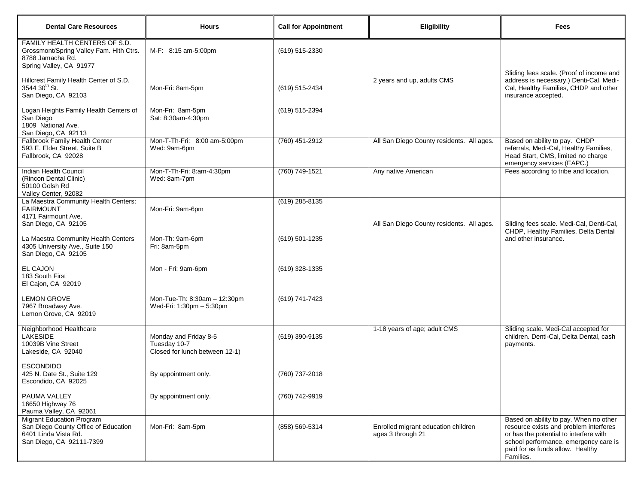| <b>Dental Care Resources</b>                                                                                                 | <b>Hours</b>                                                            | <b>Call for Appointment</b> | <b>Eligibility</b>                                       | <b>Fees</b>                                                                                                                                                                                                          |
|------------------------------------------------------------------------------------------------------------------------------|-------------------------------------------------------------------------|-----------------------------|----------------------------------------------------------|----------------------------------------------------------------------------------------------------------------------------------------------------------------------------------------------------------------------|
| FAMILY HEALTH CENTERS OF S.D.<br>Grossmont/Spring Valley Fam. Hlth Ctrs.<br>8788 Jamacha Rd.<br>Spring Valley, CA 91977      | M-F: 8:15 am-5:00pm                                                     | (619) 515-2330              |                                                          |                                                                                                                                                                                                                      |
| Hillcrest Family Health Center of S.D.<br>3544 30 <sup>th</sup> St.<br>San Diego, CA 92103                                   | Mon-Fri: 8am-5pm                                                        | (619) 515-2434              | 2 years and up, adults CMS                               | Sliding fees scale. (Proof of income and<br>address is necessary.) Denti-Cal, Medi-<br>Cal, Healthy Families, CHDP and other<br>insurance accepted.                                                                  |
| Logan Heights Family Health Centers of<br>San Diego<br>1809 National Ave.<br>San Diego, CA 92113                             | Mon-Fri: 8am-5pm<br>Sat: 8:30am-4:30pm                                  | (619) 515-2394              |                                                          |                                                                                                                                                                                                                      |
| Fallbrook Family Health Center<br>593 E. Elder Street, Suite B<br>Fallbrook, CA 92028                                        | Mon-T-Th-Fri: 8:00 am-5:00pm<br>Wed: 9am-6pm                            | (760) 451-2912              | All San Diego County residents. All ages.                | Based on ability to pay. CHDP<br>referrals, Medi-Cal, Healthy Families,<br>Head Start, CMS, limited no charge<br>emergency services (EAPC.)                                                                          |
| Indian Health Council<br>(Rincon Dental Clinic)<br>50100 Golsh Rd<br>Valley Center, 92082                                    | Mon-T-Th-Fri: 8:am-4:30pm<br>Wed: 8am-7pm                               | (760) 749-1521              | Any native American                                      | Fees according to tribe and location.                                                                                                                                                                                |
| La Maestra Community Health Centers:<br><b>FAIRMOUNT</b><br>4171 Fairmount Ave.<br>San Diego, CA 92105                       | Mon-Fri: 9am-6pm                                                        | (619) 285-8135              | All San Diego County residents. All ages.                | Sliding fees scale. Medi-Cal, Denti-Cal,                                                                                                                                                                             |
| La Maestra Community Health Centers<br>4305 University Ave., Suite 150<br>San Diego, CA 92105                                | Mon-Th: 9am-6pm<br>Fri: 8am-5pm                                         | (619) 501-1235              |                                                          | CHDP, Healthy Families, Delta Dental<br>and other insurance.                                                                                                                                                         |
| EL CAJON<br>183 South First<br>El Cajon, CA 92019                                                                            | Mon - Fri: 9am-6pm                                                      | (619) 328-1335              |                                                          |                                                                                                                                                                                                                      |
| <b>LEMON GROVE</b><br>7967 Broadway Ave.<br>Lemon Grove, CA 92019                                                            | Mon-Tue-Th: 8:30am - 12:30pm<br>Wed-Fri: 1:30pm - 5:30pm                | (619) 741-7423              |                                                          |                                                                                                                                                                                                                      |
| Neighborhood Healthcare<br><b>LAKESIDE</b><br>10039B Vine Street<br>Lakeside, CA 92040                                       | Monday and Friday 8-5<br>Tuesday 10-7<br>Closed for lunch between 12-1) | (619) 390-9135              | 1-18 years of age; adult CMS                             | Sliding scale. Medi-Cal accepted for<br>children. Denti-Cal, Delta Dental, cash<br>payments.                                                                                                                         |
| <b>ESCONDIDO</b><br>425 N. Date St., Suite 129<br>Escondido, CA 92025                                                        | By appointment only.                                                    | (760) 737-2018              |                                                          |                                                                                                                                                                                                                      |
| PAUMA VALLEY<br>16650 Highway 76<br>Pauma Valley, CA 92061                                                                   | By appointment only.                                                    | (760) 742-9919              |                                                          |                                                                                                                                                                                                                      |
| <b>Migrant Education Program</b><br>San Diego County Office of Education<br>6401 Linda Vista Rd.<br>San Diego, CA 92111-7399 | Mon-Fri: 8am-5pm                                                        | (858) 569-5314              | Enrolled migrant education children<br>ages 3 through 21 | Based on ability to pay. When no other<br>resource exists and problem interferes<br>or has the potential to interfere with<br>school performance, emergency care is<br>paid for as funds allow. Healthy<br>Families. |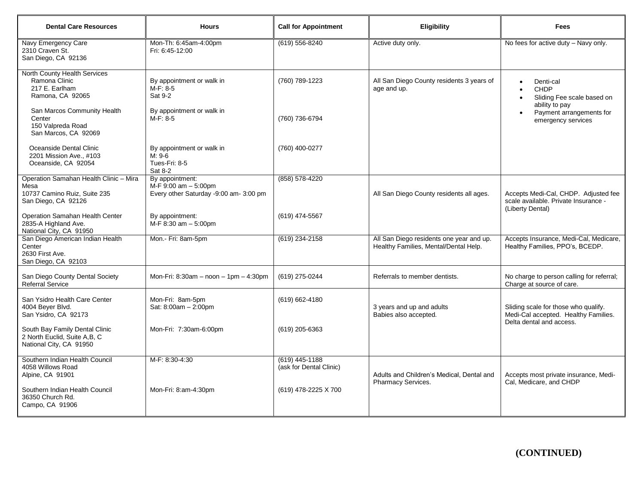| <b>Dental Care Resources</b>                                                                          | <b>Hours</b>                                                                      | <b>Call for Appointment</b>                 | Eligibility                                                                       | <b>Fees</b>                                                                                              |
|-------------------------------------------------------------------------------------------------------|-----------------------------------------------------------------------------------|---------------------------------------------|-----------------------------------------------------------------------------------|----------------------------------------------------------------------------------------------------------|
| Navy Emergency Care<br>2310 Craven St.<br>San Diego, CA 92136                                         | Mon-Th: 6:45am-4:00pm<br>Fri: 6:45-12:00                                          | (619) 556-8240                              | Active duty only.                                                                 | No fees for active duty - Navy only.                                                                     |
| North County Health Services<br>Ramona Clinic<br>217 E. Earlham<br>Ramona, CA 92065                   | By appointment or walk in<br>M-F: 8-5<br>Sat 9-2                                  | (760) 789-1223                              | All San Diego County residents 3 years of<br>age and up.                          | Denti-cal<br><b>CHDP</b><br>Sliding Fee scale based on<br>ability to pay                                 |
| San Marcos Community Health<br>Center<br>150 Valpreda Road<br>San Marcos, CA 92069                    | By appointment or walk in<br>M-F: 8-5                                             | (760) 736-6794                              |                                                                                   | Payment arrangements for<br>emergency services                                                           |
| Oceanside Dental Clinic<br>2201 Mission Ave., #103<br>Oceanside, CA 92054                             | By appointment or walk in<br>M: 9-6<br>Tues-Fri: 8-5<br>Sat 8-2                   | (760) 400-0277                              |                                                                                   |                                                                                                          |
| Operation Samahan Health Clinic - Mira<br>Mesa<br>10737 Camino Ruiz, Suite 235<br>San Diego, CA 92126 | By appointment:<br>M-F 9:00 am - 5:00pm<br>Every other Saturday -9:00 am- 3:00 pm | (858) 578-4220                              | All San Diego County residents all ages.                                          | Accepts Medi-Cal, CHDP. Adjusted fee<br>scale available. Private Insurance -<br>(Liberty Dental)         |
| Operation Samahan Health Center<br>2835-A Highland Ave.<br>National City, CA 91950                    | By appointment:<br>M-F 8:30 am - 5:00pm                                           | (619) 474-5567                              |                                                                                   |                                                                                                          |
| San Diego American Indian Health<br>Center<br>2630 First Ave.<br>San Diego, CA 92103                  | Mon.- Fri: 8am-5pm                                                                | (619) 234-2158                              | All San Diego residents one year and up.<br>Healthy Families, Mental/Dental Help. | Accepts Insurance, Medi-Cal, Medicare,<br>Healthy Families, PPO's, BCEDP.                                |
| San Diego County Dental Society<br><b>Referral Service</b>                                            | Mon-Fri: $8:30am - noon - 1pm - 4:30pm$                                           | (619) 275-0244                              | Referrals to member dentists.                                                     | No charge to person calling for referral;<br>Charge at source of care.                                   |
| San Ysidro Health Care Center<br>4004 Beyer Blvd.<br>San Ysidro, CA 92173                             | Mon-Fri: 8am-5pm<br>Sat: 8:00am - 2:00pm                                          | $(619) 662 - 4180$                          | 3 years and up and adults<br>Babies also accepted.                                | Sliding scale for those who qualify.<br>Medi-Cal accepted. Healthy Families.<br>Delta dental and access. |
| South Bay Family Dental Clinic<br>2 North Euclid, Suite A,B, C<br>National City, CA 91950             | Mon-Fri: 7:30am-6:00pm                                                            | (619) 205-6363                              |                                                                                   |                                                                                                          |
| Southern Indian Health Council<br>4058 Willows Road<br>Alpine, CA 91901                               | M-F: 8:30-4:30                                                                    | $(619)$ 445-1188<br>(ask for Dental Clinic) | Adults and Children's Medical, Dental and<br>Pharmacy Services.                   | Accepts most private insurance, Medi-<br>Cal, Medicare, and CHDP                                         |
| Southern Indian Health Council<br>36350 Church Rd.<br>Campo, CA 91906                                 | Mon-Fri: 8:am-4:30pm                                                              | (619) 478-2225 X 700                        |                                                                                   |                                                                                                          |